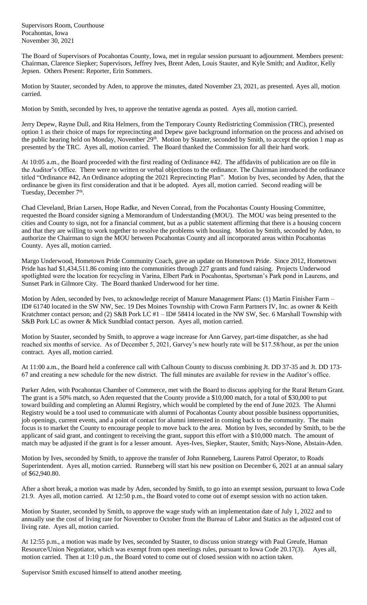Supervisors Room, Courthouse Pocahontas, Iowa November 30, 2021

The Board of Supervisors of Pocahontas County, Iowa, met in regular session pursuant to adjournment. Members present: Chairman, Clarence Siepker; Supervisors, Jeffrey Ives, Brent Aden, Louis Stauter, and Kyle Smith; and Auditor, Kelly Jepsen. Others Present: Reporter, Erin Sommers.

Motion by Stauter, seconded by Aden, to approve the minutes, dated November 23, 2021, as presented. Ayes all, motion carried.

Motion by Smith, seconded by Ives, to approve the tentative agenda as posted. Ayes all, motion carried.

Jerry Depew, Rayne Dull, and Rita Helmers, from the Temporary County Redistricting Commission (TRC), presented option 1 as their choice of maps for reprecincting and Depew gave background information on the process and advised on the public hearing held on Monday, November 29<sup>th</sup>. Motion by Stauter, seconded by Smith, to accept the option 1 map as presented by the TRC. Ayes all, motion carried. The Board thanked the Commission for all their hard work.

At 10:05 a.m., the Board proceeded with the first reading of Ordinance #42. The affidavits of publication are on file in the Auditor's Office. There were no written or verbal objections to the ordinance. The Chairman introduced the ordinance titled "Ordinance #42, An Ordinance adopting the 2021 Reprecincting Plan".Motion by Ives, seconded by Aden, that the ordinance be given its first consideration and that it be adopted. Ayes all, motion carried. Second reading will be Tuesday, December 7<sup>th</sup>.

Chad Cleveland, Brian Larsen, Hope Radke, and Neven Conrad, from the Pocahontas County Housing Committee, requested the Board consider signing a Memorandum of Understanding (MOU). The MOU was being presented to the cities and County to sign, not for a financial comment, but as a public statement affirming that there is a housing concern and that they are willing to work together to resolve the problems with housing. Motion by Smith, seconded by Aden, to authorize the Chairman to sign the MOU between Pocahontas County and all incorporated areas within Pocahontas County. Ayes all, motion carried.

Margo Underwood, Hometown Pride Community Coach, gave an update on Hometown Pride. Since 2012, Hometown Pride has had \$1,434,511.86 coming into the communities through 227 grants and fund raising. Projects Underwood spotlighted were the location for recycling in Varina, Elbert Park in Pocahontas, Sportsman's Park pond in Laurens, and Sunset Park in Gilmore City. The Board thanked Underwood for her time.

Motion by Aden, seconded by Ives, to acknowledge receipt of Manure Management Plans: (1) Martin Finisher Farm – ID# 61740 located in the SW NW, Sec. 19 Des Moines Township with Crown Farm Partners IV, Inc. as owner & Keith Kratchmer contact person; and (2) S&B Pork LC #1 – ID# 58414 located in the NW SW, Sec. 6 Marshall Township with S&B Pork LC as owner & Mick Sundblad contact person. Ayes all, motion carried.

Motion by Stauter, seconded by Smith, to approve a wage increase for Ann Garvey, part-time dispatcher, as she had reached six months of service. As of December 5, 2021, Garvey's new hourly rate will be \$17.58/hour, as per the union contract. Ayes all, motion carried.

At 11:00 a.m., the Board held a conference call with Calhoun County to discuss combining Jt. DD 37-35 and Jt. DD 173- 67 and creating a new schedule for the new district. The full minutes are available for review in the Auditor's office.

Parker Aden, with Pocahontas Chamber of Commerce, met with the Board to discuss applying for the Rural Return Grant. The grant is a 50% match, so Aden requested that the County provide a \$10,000 match, for a total of \$30,000 to put toward building and completing an Alumni Registry, which would be completed by the end of June 2023. The Alumni Registry would be a tool used to communicate with alumni of Pocahontas County about possible business opportunities, job openings, current events, and a point of contact for alumni interested in coming back to the community. The main focus is to market the County to encourage people to move back to the area. Motion by Ives, seconded by Smith, to be the applicant of said grant, and contingent to receiving the grant, support this effort with a \$10,000 match. The amount of match may be adjusted if the grant is for a lesser amount. Ayes-Ives, Siepker, Stauter, Smith; Nays-None, Abstain-Aden.

Motion by Ives, seconded by Smith, to approve the transfer of John Runneberg, Laurens Patrol Operator, to Roads Superintendent. Ayes all, motion carried. Runneberg will start his new position on December 6, 2021 at an annual salary of \$62,940.80.

After a short break, a motion was made by Aden, seconded by Smith, to go into an exempt session, pursuant to Iowa Code 21.9. Ayes all, motion carried. At 12:50 p.m., the Board voted to come out of exempt session with no action taken.

Motion by Stauter, seconded by Smith, to approve the wage study with an implementation date of July 1, 2022 and to annually use the cost of living rate for November to October from the Bureau of Labor and Statics as the adjusted cost of living rate. Ayes all, motion carried.

At 12:55 p.m., a motion was made by Ives, seconded by Stauter, to discuss union strategy with Paul Greufe, Human Resource/Union Negotiator, which was exempt from open meetings rules, pursuant to Iowa Code 20.17(3). Ayes all, motion carried. Then at 1:10 p.m., the Board voted to come out of closed session with no action taken.

Supervisor Smith excused himself to attend another meeting.